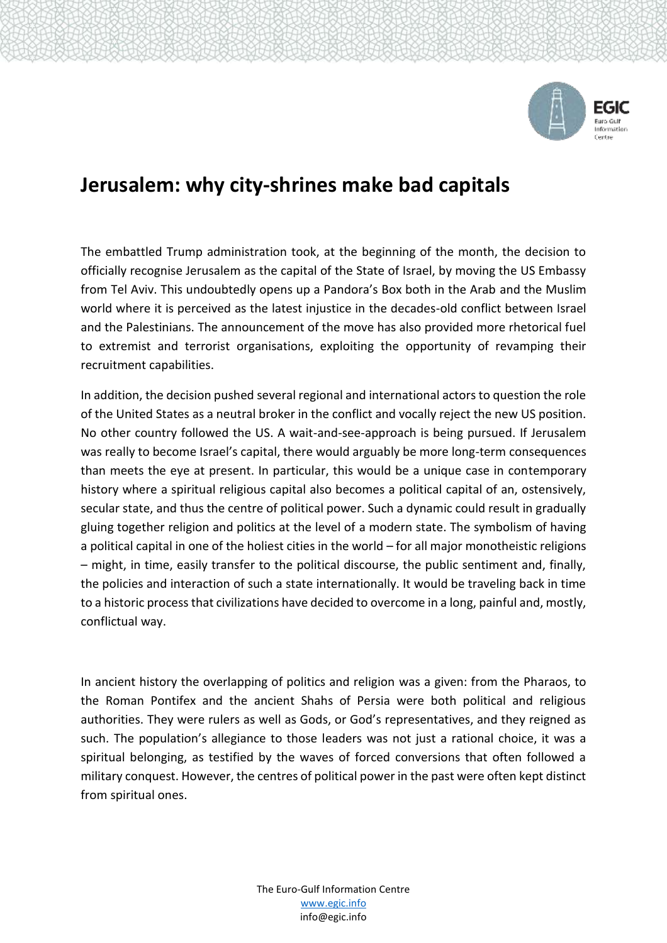

## **Jerusalem: why city-shrines make bad capitals**

The embattled Trump administration took, at the beginning of the month, the decision to officially recognise Jerusalem as the capital of the State of Israel, by moving the US Embassy from Tel Aviv. This undoubtedly opens up a Pandora's Box both in the Arab and the Muslim world where it is perceived as the latest injustice in the decades-old conflict between Israel and the Palestinians. The announcement of the move has also provided more rhetorical fuel to extremist and terrorist organisations, exploiting the opportunity of revamping their recruitment capabilities.

In addition, the decision pushed several regional and international actors to question the role of the United States as a neutral broker in the conflict and vocally reject the new US position. No other country followed the US. A wait-and-see-approach is being pursued. If Jerusalem was really to become Israel's capital, there would arguably be more long-term consequences than meets the eye at present. In particular, this would be a unique case in contemporary history where a spiritual religious capital also becomes a political capital of an, ostensively, secular state, and thus the centre of political power. Such a dynamic could result in gradually gluing together religion and politics at the level of a modern state. The symbolism of having a political capital in one of the holiest cities in the world – for all major monotheistic religions – might, in time, easily transfer to the political discourse, the public sentiment and, finally, the policies and interaction of such a state internationally. It would be traveling back in time to a historic process that civilizations have decided to overcome in a long, painful and, mostly, conflictual way.

In ancient history the overlapping of politics and religion was a given: from the Pharaos, to the Roman Pontifex and the ancient Shahs of Persia were both political and religious authorities. They were rulers as well as Gods, or God's representatives, and they reigned as such. The population's allegiance to those leaders was not just a rational choice, it was a spiritual belonging, as testified by the waves of forced conversions that often followed a military conquest. However, the centres of political power in the past were often kept distinct from spiritual ones.

> The Euro-Gulf Information Centre [www.egic.info](http://www.egic.info/) info@egic.info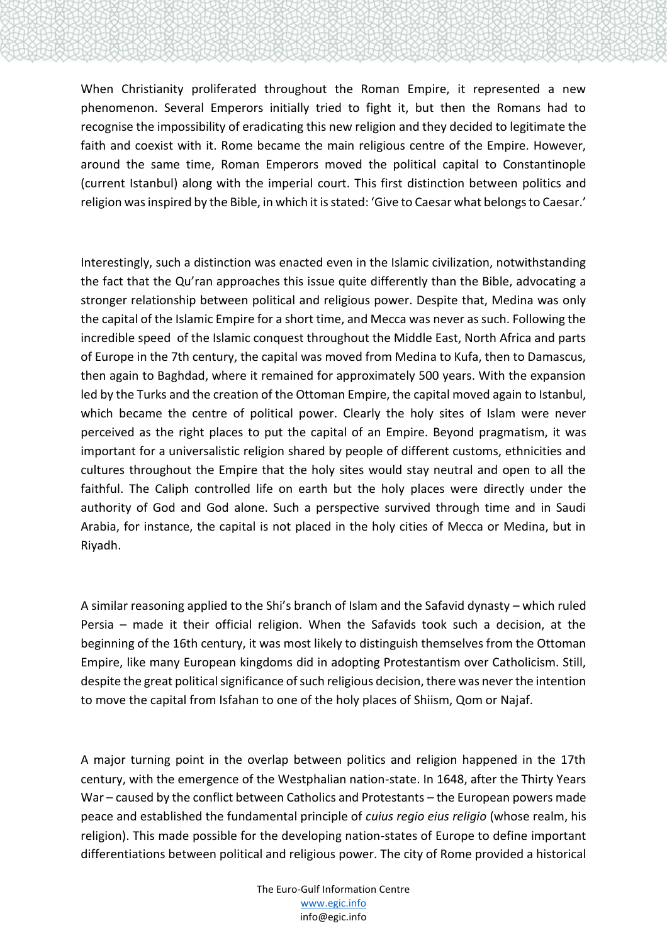When Christianity proliferated throughout the Roman Empire, it represented a new phenomenon. Several Emperors initially tried to fight it, but then the Romans had to recognise the impossibility of eradicating this new religion and they decided to legitimate the faith and coexist with it. Rome became the main religious centre of the Empire. However, around the same time, Roman Emperors moved the political capital to Constantinople (current Istanbul) along with the imperial court. This first distinction between politics and religion was inspired by the Bible, in which it is stated: 'Give to Caesar what belongs to Caesar.'

Interestingly, such a distinction was enacted even in the Islamic civilization, notwithstanding the fact that the Qu'ran approaches this issue quite differently than the Bible, advocating a stronger relationship between political and religious power. Despite that, Medina was only the capital of the Islamic Empire for a short time, and Mecca was never as such. Following the incredible speed of the Islamic conquest throughout the Middle East, North Africa and parts of Europe in the 7th century, the capital was moved from Medina to Kufa, then to Damascus, then again to Baghdad, where it remained for approximately 500 years. With the expansion led by the Turks and the creation of the Ottoman Empire, the capital moved again to Istanbul, which became the centre of political power. Clearly the holy sites of Islam were never perceived as the right places to put the capital of an Empire. Beyond pragmatism, it was important for a universalistic religion shared by people of different customs, ethnicities and cultures throughout the Empire that the holy sites would stay neutral and open to all the faithful. The Caliph controlled life on earth but the holy places were directly under the authority of God and God alone. Such a perspective survived through time and in Saudi Arabia, for instance, the capital is not placed in the holy cities of Mecca or Medina, but in Riyadh.

A similar reasoning applied to the Shi's branch of Islam and the Safavid dynasty – which ruled Persia – made it their official religion. When the Safavids took such a decision, at the beginning of the 16th century, it was most likely to distinguish themselves from the Ottoman Empire, like many European kingdoms did in adopting Protestantism over Catholicism. Still, despite the great political significance of such religious decision, there was never the intention to move the capital from Isfahan to one of the holy places of Shiism, Qom or Najaf.

A major turning point in the overlap between politics and religion happened in the 17th century, with the emergence of the Westphalian nation-state. In 1648, after the Thirty Years War – caused by the conflict between Catholics and Protestants – the European powers made peace and established the fundamental principle of *cuius regio eius religio* (whose realm, his religion). This made possible for the developing nation-states of Europe to define important differentiations between political and religious power. The city of Rome provided a historical